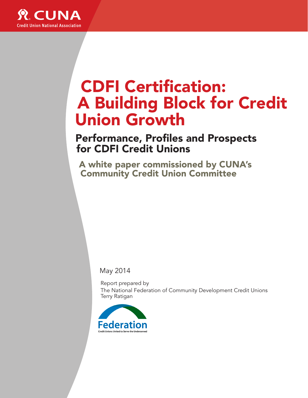

# CDFI Certification: A Building Block for Credit Union Growth

Performance, Profiles and Prospects for CDFI Credit Unions

A white paper commissioned by CUNA's Community Credit Union Committee

May 2014

Report prepared by The National Federation of Community Development Credit Unions Terry Ratigan

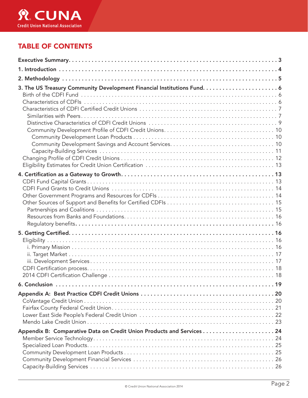

### TABLE OF CONTENTS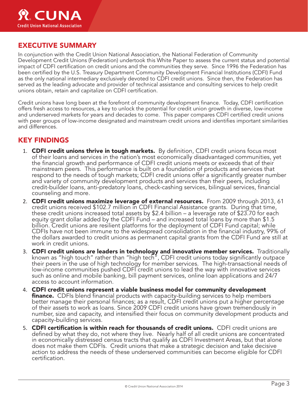

### EXECUTIVE SUMMARY

In conjunction with the Credit Union National Association, the National Federation of Community Development Credit Unions (Federation) undertook this White Paper to assess the current status and potential impact of CDFI certification on credit unions and the communities they serve. Since 1996 the Federation has been certified by the U.S. Treasury Department Community Development Financial Institutions (CDFI) Fund as the only national intermediary exclusively devoted to CDFI credit unions. Since then, the Federation has served as the leading advocate and provider of technical assistance and consulting services to help credit unions obtain, retain and capitalize on CDFI certification.

Credit unions have long been at the forefront of community development finance. Today, CDFI certification offers fresh access to resources, a key to unlock the potential for credit union growth in diverse, low-income and underserved markets for years and decades to come. This paper compares CDFI certified credit unions with peer groups of low-income designated and mainstream credit unions and identifies important similarities and differences.

### KEY FINDINGS

- 1. CDFI credit unions thrive in tough markets. By definition, CDFI credit unions focus most of their loans and services in the nation's most economically disadvantaged communities, yet the financial growth and performance of CDFI credit unions meets or exceeds that of their mainstream peers. This performance is built on a foundation of products and services that respond to the needs of tough markets; CDFI credit unions offer a significantly greater number and variety of community development products and services than their peers, including credit-builder loans, anti-predatory loans, check-cashing services, bilingual services, financial counseling and more.
- 2. CDFI credit unions maximize leverage of external resources. From 2009 through 2013, 61 credit unions received \$102.7 million in CDFI Financial Assistance grants. During that time, these credit unions increased total assets by \$2.4 billion – a leverage rate of \$23.70 for each equity grant dollar added by the CDFI Fund – and increased total loans by more than \$1.5 billion. Credit unions are resilient platforms for the deployment of CDFI Fund capital; while CDFIs have not been immune to the widespread consolidation in the financial industry, 99% of the dollars awarded to credit unions as permanent capital grants from the CDFI Fund are still at work in credit unions.
- 3. CDFI credit unions are leaders in technology and innovative member services. Traditionally known as "high touch" rather than "high tech", CDFI credit unions today significantly outpace their peers in the use of high technology for member services. The high-transactional needs of low-income communities pushed CDFI credit unions to lead the way with innovative services such as online and mobile banking, bill payment services, online loan applications and 24/7 access to account information.
- 4. CDFI credit unions represent a viable business model for community development **finance.** CDFIs blend financial products with capacity-building services to help members better manage their personal finances; as a result, CDFI credit unions put a higher percentage of their assets to work as loans. Since 2009 CDFI credit unions have grown tremendously in number, size and capacity, and intensified their focus on community development products and capacity-building services.
- 5. **CDFI certification is within reach for thousands of credit unions.** CDFI credit unions are defined by what they do, not where they live. Nearly half of all credit unions are concentrated in economically distressed census tracts that qualify as CDFI Investment Areas, but that alone<br>does not make them CDFIs. Credit unions that make a strategic decision and take decisive action to address the needs of these underserved communities can become eligible for CDFI certification.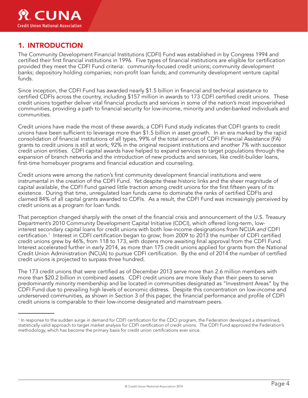### 1. INTRODUCTION

The Community Development Financial Institutions (CDFI) Fund was established in by Congress 1994 and certified their first financial institutions in 1996. Five types of financial institutions are eligible for certification provided they meet the CDFI Fund criteria: community-focused credit unions; community development banks; depository holding companies; non-profit loan funds; and community development venture capital funds.

Since inception, the CDFI Fund has awarded nearly \$1.5 billion in financial and technical assistance to certified CDFIs across the country, including \$157 million in awards to 173 CDFI certified credit unions. These credit unions together deliver vital financial products and services in some of the nation's most impoverished communities, providing a path to financial security for low-income, minority and under-banked individuals and communities.

Credit unions have made the most of these awards; a CDFI Fund study indicates that CDFI grants to credit unions have been sufficient to leverage more than \$1.5 billion in asset growth. In an era marked by the rapid consolidation of financial institutions of all types, 99% of the total amount of CDFI Financial Assistance (FA) grants to credit unions is still at work; 92% in the original recipient institutions and another 7% with successor credit union entities. CDFI capital awards have helped to expand services to target populations through the expansion of branch networks and the introduction of new products and services, like credit-builder loans, first-time homebuyer programs and financial education and counseling.

Credit unions were among the nation's first community development financial institutions and were instrumental in the creation of the CDFI Fund. Yet despite these historic links and the sheer magnitude of capital available, the CDFI Fund gained little traction among credit unions for the first fifteen years of its existence. During that time, unregulated loan funds came to dominate the ranks of certified CDFIs and claimed 84% of all capital grants awarded to CDFIs. As a result, the CDFI Fund was increasingly perceived by credit unions as a program for loan funds.

That perception changed sharply with the onset of the financial crisis and announcement of the U.S. Treasury Department's 2010 Community Development Capital Initiative (CDCI), which offered long-term, lowinterest secondary capital loans for credit unions with both low-income designations from NCUA *and* CDFI certification. 1 Interest in CDFI certification began to grow; from 2009 to 2013 the number of CDFI certified credit unions grew by 46%, from 118 to 173, with dozens more awaiting final approval from the CDFI Fund. Interest accelerated further in early 2014, as more than 175 credit unions applied for grants from the National Credit Union Administration (NCUA) to pursue CDFI certification. By the end of 2014 the number of certified credit unions is projected to surpass three hundred.

The 173 credit unions that were certified as of December 2013 serve more than 2.6 million members with more than \$20.2 billion in combined assets. CDFI credit unions are more likely than their peers to serve predominantly minority membership and be located in communities designated as "Investment Areas" by the CDFI Fund due to prevailing high levels of economic distress. Despite this concentration on low-income and underserved communities, as shown in Section 3 of this paper, the financial performance and profile of CDFI credit unions is comparable to their low-income designated and mainstream peers.

<sup>&</sup>lt;sup>1</sup> In response to the sudden surge in demand for CDFI certification for the CDCI program, the Federation developed a streamlined, statistically valid approach to target market analysis for CDFI certification of credit unions. The CDFI Fund approved the Federation's methodology, which has become the primary basis for credit union certifications ever since.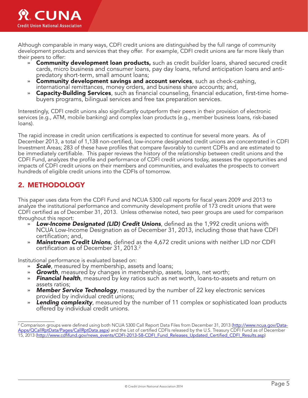

Although comparable in many ways, CDFI credit unions are distinguished by the full range of community development products and services that they offer. For example, CDFI credit unions are far more likely than their peers to offer:

- » **Community development loan products,** such as credit builder loans, shared secured credit cards, micro business and consumer loans, pay day loans, refund anticipation loans and antipredatory short-term, small amount loans;
- » Community development savings and account services, such as check-cashing, international remittances, money orders, and business share accounts; and,
- » **Capacity-Building Services**, such as financial counseling, financial education, first-time homebuyers programs, bilingual services and free tax preparation services.

Interestingly, CDFI credit unions also significantly outperform their peers in their provision of electronic services (e.g., ATM, mobile banking) and complex loan products (e.g., member business loans, risk-based loans).

The rapid increase in credit union certifications is expected to continue for several more years. As of December 2013, a total of 1,138 non-certified, low-income designated credit unions are concentrated in CDFI Investment Areas; 283 of these have profiles that compare favorably to current CDFIs and are estimated to be immediately certifiable. This paper reviews the history of the relationship between credit unions and the CDFI Fund, analyzes the profile and performance of CDFI credit unions today, assesses the opportunities and impacts of CDFI credit unions on their members and communities, and evaluates the prospects to convert hundreds of eligible credit unions into the CDFIs of tomorrow.

### 2. METHODOLOGY

This paper uses data from the CDFI Fund and NCUA 5300 call reports for fiscal years 2009 and 2013 to analyze the institutional performance and community development profile of 173 credit unions that were CDFI certified as of December 31, 2013. Unless otherwise noted, two peer groups are used for comparison throughout this report:

- » *Low-Income Designated (LID) Credit Unions*, defined as the 1,992 credit unions with NCUA Low-Income Designation as of December 31, 2013, including those that have CDFI certification; and,
- » *Mainstream Credit Unions*, defined as the 4,672 credit unions with neither LID nor CDFI certification as of December 31, 2013. 2

Institutional performance is evaluated based on:

- 
- 
- **» Scale**, measured by membership, assets and loans;<br>**» Growth**, measured by changes in membership, assets, loans, net worth;<br>**» Financial health**, measured by key ratios such as net worth, loans-to-assets and return on assets ratios;
- » *Member Service Technology*, measured by the number of 22 key electronic services provided by individual credit unions;
- » *Lending complexity*, measured by the number of 11 complex or sophisticated loan products offered by individual credit unions.

<sup>&</sup>lt;sup>2</sup> Comparison groups were defined using both NCUA 5300 Call Report Data Files from December 31, 2013 (<u>http://www.ncua.gov/Data-</u> Apps/QCallRptData/Pages/CallRptData.aspx) and the List of certified CDFIs released by the U.S. Treasury CDFI Fund as of December 15, 2013 (http://www.cdfifund.gov/news\_events/CDFI-2013-58-CDFI\_Fund\_Releases\_Updated\_Certified\_CDFI\_Results.asp)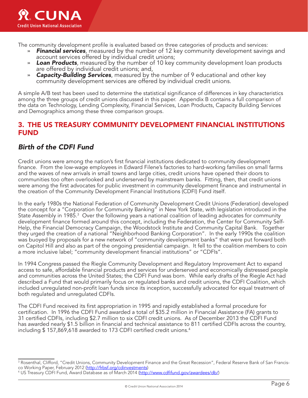

The community development profile is evaluated based on three categories of products and services:

- » *Financial services*, measured by the number of 12 key community development savings and account services offered by individual credit unions;
- » **Loan Products**, measured by the number of 10 key community development loan products are offered by individual credit unions; and,
- » *Capacity-Building Services*, measured by the number of 9 educational and other key community development services are offered by individual credit unions.

A simple A/B test has been used to determine the statistical significance of differences in key characteristics among the three groups of credit unions discussed in this paper. Appendix B contains a full comparison of the data on Technology, Lending Complexity, Financial Services, Loan Products, Capacity Building Services and Demographics among these three comparison groups.

### 3. THE US TREASURY COMMUNITY DEVELOPMENT FINANCIAL INSTITUTIONS FUND

### *Birth of the CDFI Fund*

Credit unions were among the nation's first financial institutions dedicated to community development finance. From the low-wage employees in Edward Filene's factories to hard-working families on small farms and the waves of new arrivals in small towns and large cities, credit unions have opened their doors to communities too often overlooked and underserved by mainstream banks. Fitting, then, that credit unions were among the first advocates for public investment in community development finance and instrumental in the creation of the Community Development Financial Institutions (CDFI) Fund itself.

In the early 1980s the National Federation of Community Development Credit Unions (Federation) developed the concept for a "Corporation for Community Banking" in New York State, with legislation introduced in the State Assembly in 1985. $^3$  Over the following years a national coalition of leading advocates for community development finance formed around this concept, including the Federation, the Center for Community Self-Help, the Financial Democracy Campaign, the Woodstock Institute and Community Capital Bank. Together they urged the creation of a national "Neighborhood Banking Corporation". In the early 1990s the coalition was buoyed by proposals for a new network of "community development banks" that were put forward both on Capitol Hill and also as part of the ongoing presidential campaign. It fell to the coalition members to coin a more inclusive label; "community development financial institutions" or "CDFIs".

In 1994 Congress passed the Riegle Community Development and Regulatory Improvement Act to expand access to safe, affordable financial products and services for underserved and economically distressed people and communities across the United States; the CDFI Fund was born. While early drafts of the Riegle Act had described a Fund that would primarily focus on regulated banks and credit unions, the CDFI Coalition, which included unregulated non-profit loan funds since its inception, successfully advocated for equal treatment of both regulated and unregulated CDFIs.

The CDFI Fund received its first appropriation in 1995 and rapidly established a formal procedure for certification. In 1996 the CDFI Fund awarded a total of \$35.2 million in Financial Assistance (FA) grants to 31 certified CDFIs, including \$2.7 million to six CDFI credit unions. As of December 2013 the CDFI Fund has awarded nearly \$1.5 billion in financial and technical assistance to 811 certified CDFIs across the country, including \$ 157,869,618 awarded to 173 CDFI certified credit unions. 4

<sup>&</sup>lt;sup>3</sup> Rosenthal, Clifford, "Credit Unions, Community Development Finance and the Great Recession", Federal Reserve Bank of San Francisco Working Paper, February 2012 (http://frbsf.org/cdinvestments)

US Treasury CDFI Fund, Award Database as of March 2014 (http://www.cdfifund.gov/awardees/db/)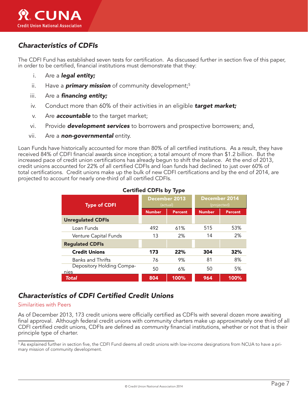### *Characteristics of CDFIs*

The CDFI Fund has established seven tests for certification. As discussed further in section five of this paper, in order to be certified, financial institutions must demonstrate that they:

- i. Are a *legal entity;*
- ii. Have a **primary mission** of community development;<sup>5</sup>
- iii. Are a *financing entity;*
- iv. Conduct more than 60% of their activities in an eligible *target market;*
- v. Are *accountable* to the target market;
- vi. Provide *development services* to borrowers and prospective borrowers; and,
- vii. Are a *non-governmental* entity.

Loan Funds have historically accounted for more than 80% of all certified institutions. As a result, they have received 84% of CDFI financial awards since inception; a total amount of more than \$1.2 billion. But the increased pace of credit union certifications has already begun to shift the balance. At the end of 2013, credit unions accounted for 22% of all certified CDFIs and loan funds had declined to just over 60% of total certifications. Credit unions make up the bulk of new CDFI certifications and by the end of 2014, are projected to account for nearly one-third of all certified CDFIs.

| <b>Type of CDFI</b>               | December 2013<br>(actual) |                | December 2014<br>(projected) |                |
|-----------------------------------|---------------------------|----------------|------------------------------|----------------|
|                                   | <b>Number</b>             | <b>Percent</b> | <b>Number</b>                | <b>Percent</b> |
| <b>Unregulated CDFIs</b>          |                           |                |                              |                |
| Loan Funds                        | 492                       | 61%            | 515                          | 53%            |
| Venture Capital Funds             | 13                        | 2%             | 14                           | 2%             |
| <b>Regulated CDFIs</b>            |                           |                |                              |                |
| <b>Credit Unions</b>              | 173                       | 22%            | 304                          | 32%            |
| <b>Banks and Thrifts</b>          | 76                        | 9%             | 81                           | 8%             |
| Depository Holding Compa-<br>nies | 50                        | 6%             | 50                           | 5%             |
| Total                             | 804                       | 100%           | 964                          | 100%           |

#### Certified CDFIs by Type

### *Characteristics of CDFI Certified Credit Unions*

#### Similarities with Peers

As of December 2013, 173 credit unions were officially certified as CDFIs with several dozen more awaiting final approval. Although federal credit unions with community charters make up approximately one third of all CDFI certified credit unions, CDFIs are defined as *community* financial institutions, whether or not that is their principle type of charter.

 $^5$  As explained further in section five, the CDFI Fund deems all credit unions with low-income designations from NCUA to have a primary mission of community development.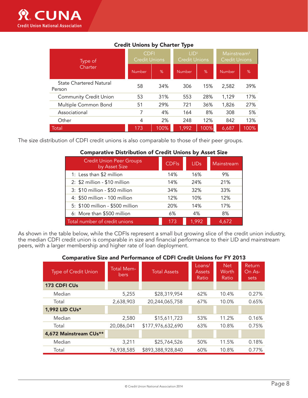| Type of<br>Charter                       | <b>CDFI</b><br><b>Credit Unions</b> |      | $1 \mathsf{ID}^1$<br><b>Credit Unions</b> |      | Mainstream <sup>2</sup><br><b>Credit Unions</b> |               |
|------------------------------------------|-------------------------------------|------|-------------------------------------------|------|-------------------------------------------------|---------------|
|                                          | Number                              | %    | <b>Number</b>                             | %    | Number                                          | $\frac{9}{6}$ |
| <b>State Chartered Natural</b><br>Person | 58                                  | 34%  | 306                                       | 15%  | 2,582                                           | 39%           |
| <b>Community Credit Union</b>            | 53                                  | 31%  | 553                                       | 28%  | 1,129                                           | 17%           |
| Multiple Common Bond                     | 51                                  | 29%  | 721                                       | 36%  | 1,826                                           | 27%           |
| Associational                            |                                     | 4%   | 164                                       | 8%   | 308                                             | 5%            |
| Other                                    | 4                                   | 2%   | 248                                       | 12%  | 842                                             | 13%           |
| Total                                    | 173                                 | 100% | 1,992                                     | 100% | 6,687                                           | 00%           |

### Credit Unions by Charter Type

The size distribution of CDFI credit unions is also comparable to those of their peer groups.

#### Comparative Distribution of Credit Unions by Asset Size

| <b>Credit Union Peer Groups</b><br>by Asset Size | <b>CDFIs</b> | <b>LIDs</b> | Mainstream |
|--------------------------------------------------|--------------|-------------|------------|
| 1: Less than \$2 million                         | 14%          | 16%         | 9%         |
| 2: \$2 million - \$10 million                    | 14%          | 24%         | 21%        |
| 3: \$10 million - \$50 million                   | 34%          | 32%         | 33%        |
| 4: \$50 million - 100 million                    | 12%          | 10%         | 12%        |
| 5: \$100 million - \$500 million                 | 20%          | 14%         | 17%        |
| 6: More than \$500 million                       | 6%           | 4%          | 8%         |
| Total number of credit unions                    | 173          | 1,992       | 4,672      |

As shown in the table below, while the CDFIs represent a small but growing slice of the credit union industry, the median CDFI credit union is comparable in size and financial performance to their LID and mainstream peers, with a larger membership and higher rate of loan deployment.

#### Comparative Size and Performance of CDFI Credit Unions for FY 2013

| <b>Type of Credit Union</b> | <b>Total Mem-</b><br><b>bers</b> | <b>Total Assets</b> | Loans/<br><b>Assets</b><br><b>Ratio</b> | <b>Net</b><br>Worth<br>Ratio | Return<br>On As-<br>sets |
|-----------------------------|----------------------------------|---------------------|-----------------------------------------|------------------------------|--------------------------|
| 173 CDFI CUs                |                                  |                     |                                         |                              |                          |
| Median                      | 5,255                            | \$28,319,954        | 62%                                     | 10.4%                        | 0.27%                    |
| Total                       | 2,638,903                        | 20,244,065,758      | 67%                                     | 10.0%                        | 0.65%                    |
| 1,992 LID CUs*              |                                  |                     |                                         |                              |                          |
| Median                      | 2,580                            | \$15,611,723        | 53%                                     | 11.2%                        | 0.16%                    |
| Total                       | 20,086,041                       | \$177,976,632,690   | 63%                                     | 10.8%                        | 0.75%                    |
| 4,672 Mainstream CUs**      |                                  |                     |                                         |                              |                          |
| Median                      | 3,211                            | \$25,764,526        | 50%                                     | 11.5%                        | 0.18%                    |
| Total                       | 76,938,585                       | \$893,388,928,840   | 60%                                     | 10.8%                        | 0.77%                    |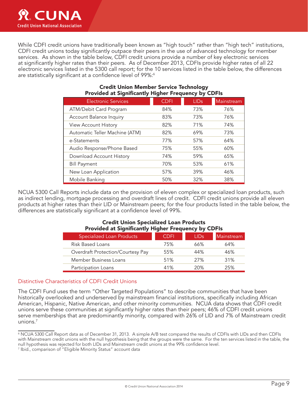

While CDFI credit unions have traditionally been known as "high touch" rather than "high tech" institutions, CDFI credit unions today significantly outpace their peers in the use of advanced technology for member services. As shown in the table below, CDFI credit unions provide a number of key electronic services at significantly higher rates than their peers. As of December 2013, CDFIs provide higher rates of all 22 electronic services listed in the 5300 call report; for the 10 services listed in the table below, the differences are statistically significant at a confidence level of 99%:<sup>6</sup>

| <b>Trovided at Jighnicantly Thgher Frequency by CDI is</b> |             |             |            |  |  |  |
|------------------------------------------------------------|-------------|-------------|------------|--|--|--|
| <b>Electronic Services</b>                                 | <b>CDFI</b> | <b>LIDs</b> | Mainstream |  |  |  |
| ATM/Debit Card Program                                     | 84%         | 73%         | 76%        |  |  |  |
| <b>Account Balance Inquiry</b>                             | 83%         | 73%         | 76%        |  |  |  |
| <b>View Account History</b>                                | 82%         | 71%         | 74%        |  |  |  |
| Automatic Teller Machine (ATM)                             | 82%         | 69%         | 73%        |  |  |  |
| e-Statements                                               | 77%         | 57%         | 64%        |  |  |  |
| Audio Response/Phone Based                                 | 75%         | 55%         | 60%        |  |  |  |
| Download Account History                                   | 74%         | 59%         | 65%        |  |  |  |
| <b>Bill Payment</b>                                        | 70%         | 53%         | 61%        |  |  |  |
| New Loan Application                                       | 57%         | 39%         | 46%        |  |  |  |
| Mobile Banking                                             | 50%         | 32%         | 38%        |  |  |  |

#### Credit Union Member Service Technology Provided at Significantly Higher Frequency by CDFIs

NCUA 5300 Call Reports include data on the provision of eleven complex or specialized loan products, such as indirect lending, mortgage processing and overdraft lines of credit. CDFI credit unions provide all eleven products at higher rates than their LID or Mainstream peers; for the four products listed in the table below, the differences are statistically significant at a confidence level of 99%.

#### Credit Union Specialized Loan Products Provided at Significantly Higher Frequency by CDFIs

| <b>Specialized Loan Products</b>  | CDFI | <b>LIDs</b> | Mainstream |
|-----------------------------------|------|-------------|------------|
| <b>Risk Based Loans</b>           | 75%  | 66%         | 64%        |
| Overdraft Protection/Courtesy Pay | 55%  | 44%         | 46%        |
| Member Business Loans             | 51%  | 27%         | 31%        |
| Participation Loans               | 41%  | 20%         | 25%        |

#### Distinctive Characteristics of CDFI Credit Unions

The CDFI Fund uses the term "Other Targeted Populations" to describe communities that have been historically overlooked and underserved by mainstream financial institutions, specifically including African American, Hispanic, Native American, and other minority communities. NCUA data shows that CDFI credit unions serve these communities at significantly higher rates than their peers; 46% of CDFI credit unions serve memberships that are predominantly minority, compared with 26% of LID and 7% of Mainstream credit unions. 7

7 Ibid., comparison of "Eligible Minority Status" account data

<sup>6</sup> NCUA 5300 Call Report data as of December 31, 2013. A simple A/B test compared the results of CDFIs with LIDs and then CDFIs with Mainstream credit unions with the null hypothesis being that the groups were the same. For the ten services listed in the table, the null hypothesis was rejected for both LIDs and Mainstream credit unions at the 99% confidence level.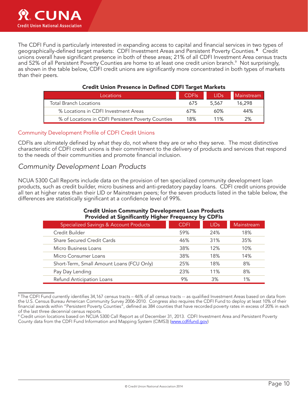The CDFI Fund is particularly interested in expanding access to capital and financial services in two types of geographically-defined target markets: CDFI Investment Areas and Persistent Poverty Counties. <sup>8</sup> Credit unions overall have significant presence in both of these areas; 21% of all CDFI Investment Area census tracts and 52% of all Persistent Poverty Counties are home to at least one credit union branch. 9 Not surprisingly, as shown in the table below, CDFI credit unions are significantly more concentrated in both types of markets than their peers.

| Locations                                          | <b>CDFIs</b> | LID <sub>s</sub> | Mainstream |  |  |
|----------------------------------------------------|--------------|------------------|------------|--|--|
| <b>Total Branch Locations</b>                      | 675          | 5.567            | 16.298     |  |  |
| % Locations in CDFI Investment Areas               | 67%          | ሐበ%              | 44%        |  |  |
| % of Locations in CDFI Persistent Poverty Counties | 18%          | 11%              | 2%         |  |  |

#### Credit Union Presence in Defined CDFI Target Markets

#### Community Development Profile of CDFI Credit Unions

CDFIs are ultimately defined by *what they do*, not where they are or who they serve. The most distinctive characteristic of CDFI credit unions is their commitment to the delivery of products and services that respond to the needs of their communities and promote financial inclusion.

#### *Community Development Loan Products*

NCUA 5300 Call Reports include data on the provision of ten specialized community development loan products, such as credit builder, micro business and anti-predatory payday loans. CDFI credit unions provide all ten at higher rates than their LID or Mainstream peers; for the seven products listed in the table below, the differences are statistically significant at a confidence level of 99%.

#### Credit Union Community Development Loan Products Provided at Significantly Higher Frequency by CDFIs

| Specialized Savings & Account Products    | CDFI | <b>LIDs</b> | Mainstream |
|-------------------------------------------|------|-------------|------------|
| Credit Builder                            | 59%  | 24%         | 18%        |
| <b>Share Secured Credit Cards</b>         | 46%  | 31%         | 35%        |
| Micro Business Loans                      | 38%  | 12%         | 10%        |
| Micro Consumer Loans                      | 38%  | 18%         | 14%        |
| Short-Term, Small Amount Loans (FCU Only) | 25%  | 18%         | 8%         |
| Pay Day Lending                           | 23%  | 11%         | 8%         |
| Refund Anticipation Loans                 | 9%   | 3%          | 1%         |

 $^{\rm 8}$  The CDFI Fund currently identifies 34,167 census tracts – 46% of all census tracts -- as qualified Investment Areas based on data from the U.S. Census Bureau American Community Survey 2006-2010. Congress also requires the CDFI Fund to deploy at least 10% of their financial awards within "Persistent Poverty Counties", defined as 384 counties that have recorded poverty rates in excess of 20% in each of the last three decennial census reports.

<sup>9</sup> Credit union locations based on NCUA 5300 Call Report as of December 31, 2013. CDFI Investment Area and Persistent Poverty County data from the CDFI Fund Information and Mapping System (CIMS3) (www.cdfifund.gov)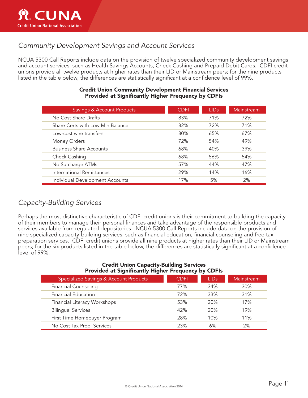

### *Community Development Savings and Account Services*

NCUA 5300 Call Reports include data on the provision of twelve specialized community development savings and account services, such as Health Savings Accounts, Check Cashing and Prepaid Debit Cards. CDFI credit unions provide all twelve products at higher rates than their LID or Mainstream peers; for the nine products listed in the table below, the differences are statistically significant at a confidence level of 99%.

| <b>Savings &amp; Account Products</b> | <b>CDFI</b> | <b>LIDs</b> | Mainstream |
|---------------------------------------|-------------|-------------|------------|
| No Cost Share Drafts                  | 83%         | 71%         | 72%        |
| Share Certs with Low Min Balance      | 82%         | 72%         | 71%        |
| Low-cost wire transfers               | 80%         | 65%         | 67%        |
| Money Orders                          | 72%         | 54%         | 49%        |
| <b>Business Share Accounts</b>        | 68%         | 40%         | 39%        |
| Check Cashing                         | 68%         | 56%         | 54%        |
| No Surcharge ATMs                     | 57%         | 44%         | 47%        |
| International Remittances             | 29%         | 14%         | 16%        |
| Individual Development Accounts       | 17%         | 5%          | 2%         |

#### Credit Union Community Development Financial Services Provided at Significantly Higher Frequency by CDFIs

### *Capacity-Building Services*

Perhaps the most distinctive characteristic of CDFI credit unions is their commitment to building the capacity of their members to manage their personal finances and take advantage of the responsible products and services available from regulated depositories. NCUA 5300 Call Reports include data on the provision of nine specialized capacity-building services, such as financial education, financial counseling and free tax preparation services. CDFI credit unions provide all nine products at higher rates than their LID or Mainstream peers; for the six products listed in the table below, the differences are statistically significant at a confidence level of 99%.

#### Credit Union Capacity-Building Services Provided at Significantly Higher Frequency by CDFIs

| <b>Specialized Savings &amp; Account Products</b> | CDFI | LIDs: | Mainstream |
|---------------------------------------------------|------|-------|------------|
| <b>Financial Counseling</b>                       | 77%  | 34%   | 30%        |
| <b>Financial Education</b>                        | 72%  | 33%   | 31%        |
| Financial Literacy Workshops                      | 53%  | 20%   | 17%        |
| <b>Bilingual Services</b>                         | 42%  | 20%   | 19%        |
| First Time Homebuyer Program                      | 28%  | 10%   | 11%        |
| No Cost Tax Prep. Services                        | 23%  | 6%    | 2%         |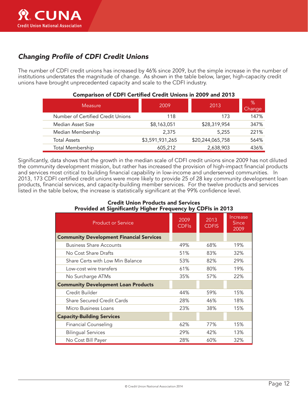

### *Changing Profile of CDFI Credit Unions*

The number of CDFI credit unions has increased by 46% since 2009, but the simple increase in the number of institutions understates the magnitude of change. As shown in the table below, larger, high-capacity credit unions have brought unprecedented capacity and scale to the CDFI industry.

| Measure                           | 2009            | 2013             | %<br>Change |
|-----------------------------------|-----------------|------------------|-------------|
| Number of Certified Credit Unions | 118             | 173              | 147%        |
| Median Asset Size                 | \$8,163,051     | \$28,319,954     | 347%        |
| Median Membership                 | 2,375           | 5,255            | 221%        |
| <b>Total Assets</b>               | \$3,591,931,265 | \$20,244,065,758 | 564%        |
| <b>Total Membership</b>           | 605,212         | 2,638,903        | 436%        |

#### Comparison of CDFI Certified Credit Unions in 2009 and 2013

Significantly, data shows that the growth in the median scale of CDFI credit unions since 2009 has not diluted the community development mission, but rather has increased the provision of high-impact financial products and services most critical to building financial capability in low-income and underserved communities. In 2013, 173 CDFI certified credit unions were more likely to provide 25 of 28 key community development loan products, financial services, and capacity-building member services. For the twelve products and services listed in the table below, the increase is statistically significant at the 99% confidence level.

#### Credit Union Products and Services Provided at Significantly Higher Frequency by CDFIs in 2013

| <b>Product or Service</b>                       | 2009<br><b>CDFIs</b> | 2013<br><b>CDFIS</b> | Increase<br><b>Since</b><br>2009 |
|-------------------------------------------------|----------------------|----------------------|----------------------------------|
| <b>Community Development Financial Services</b> |                      |                      |                                  |
| <b>Business Share Accounts</b>                  | 49%                  | 68%                  | 19%                              |
| No Cost Share Drafts                            | 51%                  | 83%                  | 32%                              |
| Share Certs with Low Min Balance                | 53%                  | 82%                  | 29%                              |
| Low-cost wire transfers                         | 61%                  | 80%                  | 19%                              |
| No Surcharge ATMs                               | 35%                  | 57%                  | 22%                              |
| <b>Community Development Loan Products</b>      |                      |                      |                                  |
| Credit Builder                                  | 44%                  | 59%                  | 15%                              |
| <b>Share Secured Credit Cards</b>               | 28%                  | 46%                  | 18%                              |
| Micro Business Loans                            | 23%                  | 38%                  | 15%                              |
| <b>Capacity-Building Services</b>               |                      |                      |                                  |
| <b>Financial Counseling</b>                     | 62%                  | 77%                  | 15%                              |
| <b>Bilingual Services</b>                       | 29%                  | 42%                  | 13%                              |
| No Cost Bill Payer                              | 28%                  | 60%                  | 32%                              |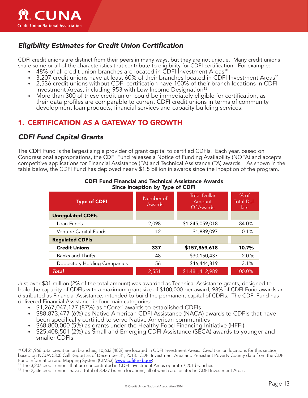

### *Eligibility Estimates for Credit Union Certification*

CDFI credit unions are distinct from their peers in many ways, but they are not unique. Many credit unions share some or all of the characteristics that contribute to eligibility for CDFI certification. For example:

- » 48% of all credit union branches are located in CDFI Investment Areas<sup>10</sup>
- » 3,207 credit unions have at least 60% of their branches located in CDFI Investment Areas<sup>11</sup>
- » 2,536 credit unions without CDFI certification have 100% of their branch locations in CDFI Investment Areas, including 953 with Low Income Designation<sup>12</sup>
- » More than 300 of these credit union could be immediately eligible for certification, as their data profiles are comparable to current CDFI credit unions in terms of community development loan products, financial services and capacity building services.

### 1. CERTIFICATION AS A GATEWAY TO GROWTH

### *CDFI Fund Capital Grants*

The CDFI Fund is the largest single provider of grant capital to certified CDFIs. Each year, based on Congressional appropriations, the CDFI Fund releases a Notice of Funding Availability (NOFA) and accepts competitive applications for Financial Assistance (FA) and Technical Assistance (TA) awards. As shown in the table below, the CDFI Fund has deployed nearly \$1.5 billion in awards since the inception of the program.

| <b>Type of CDFI</b>          | Number of<br>Awards | <b>Total Dollar</b><br>Amount<br>Of Awards | % of<br><b>Total Dol-</b><br>lars |
|------------------------------|---------------------|--------------------------------------------|-----------------------------------|
| <b>Unregulated CDFIs</b>     |                     |                                            |                                   |
| Loan Funds                   | 2,098               | \$1,245,059,018                            | 84.0%                             |
| Venture Capital Funds        | 12                  | \$1,889,097                                | 0.1%                              |
| <b>Regulated CDFIs</b>       |                     |                                            |                                   |
| <b>Credit Unions</b>         | 337                 | \$157,869,618                              | 10.7%                             |
| <b>Banks and Thrifts</b>     | 48                  | \$30,150,437                               | 2.0.%                             |
| Depository Holding Companies | 56                  | \$46,444,819                               | 3.1%                              |
| <b>Total</b>                 | 2,551               | \$1,481,412,989                            | 100.0%                            |

#### CDFI Fund Financial and Technical Assistance Awards Since Inception by Type of CDFI

Just over \$31 million (2% of the total amount) was awarded as Technical Assistance grants, designed to build the capacity of CDFIs with a maximum grant size of \$100,000 per award; 98% of CDFI Fund awards are distributed as Financial Assistance, intended to build the permanent capital of CDFIs. The CDFI Fund has delivered Financial Assistance in four main categories:

- » \$1,267,047,177 (87%) as "Core" awards to established CDFIs
- » \$88,873,477 (6%) as Native American CDFI Assistance (NACA) awards to CDFIs that have
- been specifically certified to serve Native American communities<br>\$68,800,000 (5%) as grants under the Healthy Food Financing Initiative (HFFI)
- \$25,408,501 (2%) as Small and Emerging CDFI Assistance (SECA) awards to younger and smaller CDFIs.

<sup>&</sup>lt;sup>10</sup> Of 21,966 total credit union branches, 10,633 (48%) are located in CDFI Investment Areas. Credit union locations for this section based on NCUA 5300 Call Report as of December 31, 2013. CDFI Investment Area and Persistent Poverty County data from the CDFI Fund Information and Mapping System (CIMS3) (www.cdfifund.gov)

<sup>11</sup> The 3,207 credit unions that are concentrated in CDFI Investment Areas operate 7,201 branches

 $12$  The 2,536 credit unions have a total of 3,437 branch locations, all of which are located in CDFI Investment Areas.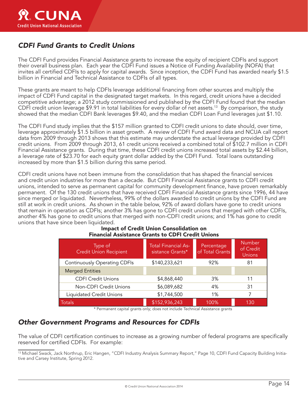

### *CDFI Fund Grants to Credit Unions*

The CDFI Fund provides Financial Assistance grants to increase the equity of recipient CDFIs and support their overall business plan. Each year the CDFI Fund issues a Notice of Funding Availability (NOFA) that invites all certified CDFIs to apply for capital awards. Since inception, the CDFI Fund has awarded nearly \$1.5 billion in Financial and Technical Assistance to CDFIs of all types.

These grants are meant to help CDFIs leverage additional financing from other sources and multiply the impact of CDFI Fund capital in the designated target markets. In this regard, credit unions have a decided competitive advantage; a 2012 study commissioned and published by the CDFI Fund found that the median CDFI credit union leverage \$9.91 in total liabilities for every dollar of net assets. 13 By comparison, the study showed that the median CDFI Bank leverages \$9.40, and the median CDFI Loan Fund leverages just \$1.10.

The CDFI Fund study implies that the \$157 million granted to CDFI credit unions to date should, over time, leverage approximately \$1.5 billion in asset growth. A review of CDFI Fund award data and NCUA call report data from 2009 through 2013 shows that this estimate may understate the actual leverage provided by CDFI credit unions. From 2009 through 2013, 61 credit unions received a combined total of \$102.7 million in CDFI Financial Assistance grants. During that time, these CDFI credit unions increased total assets by \$2.44 billion, a leverage rate of \$23.70 for each equity grant dollar added by the CDFI Fund. Total loans outstanding increased by more than \$1.5 billion during this same period.

CDFI credit unions have not been immune from the consolidation that has shaped the financial services and credit union industries for more than a decade. But CDFI Financial Assistance grants to CDFI credit unions, intended to serve as permanent capital for community development finance, have proven remarkably permanent. Of the 130 credit unions that have received CDFI Financial Assistance grants since 1996, 44 have since merged or liquidated. Nevertheless, 99% of the dollars awarded to credit unions by the CDFI Fund are still at work in credit unions. As shown in the table below, 92% of award dollars have gone to credit unions that remain in operation as CDFIs; another 3% has gone to CDFI credit unions that merged with other CDFIs, another 4% has gone to credit unions that merged with non-CDFI credit unions; and 1% has gone to credit unions that have since been liquidated.

| <b>Financial Assistance Grants to CDFI Credit Unions</b> |                                                |                               |                                             |  |  |
|----------------------------------------------------------|------------------------------------------------|-------------------------------|---------------------------------------------|--|--|
| Type of<br><b>Credit Union Recipient</b>                 | <b>Total Financial As-</b><br>sistance Grants* | Percentage<br>of Total Grants | <b>Number</b><br>of Credit<br><b>Unions</b> |  |  |
| <b>Continuously Operating CDFIs</b>                      | \$140,233,621                                  | 92%                           | 81                                          |  |  |
| <b>Merged Entities</b>                                   |                                                |                               |                                             |  |  |
| <b>CDFI Credit Unions</b>                                | \$4,868,440                                    | 3%                            | 11                                          |  |  |
| Non-CDFI Credit Unions                                   | \$6,089,682                                    | 4%                            | 31                                          |  |  |
| Liquidated Credit Unions                                 | \$1,744,500                                    | 1%                            | 7                                           |  |  |
| Totals                                                   | \$152,936,243                                  | 100%                          | 130                                         |  |  |

## Impact of Credit Union Consolidation on

\* Permanent capital grants only; does not include Technical Assistance grants

### *Other Government Programs and Resources for CDFIs*

The value of CDFI certification continues to increase as a growing number of federal programs are specifically reserved for certified CDFIs. For example:

<sup>13</sup> Michael Swack, Jack Northrup, Eric Hangen, "CDFI Industry Analysis Summary Report," Page 10, CDFI Fund Capacity Building Initiative and Carsey Institute, Spring 2012.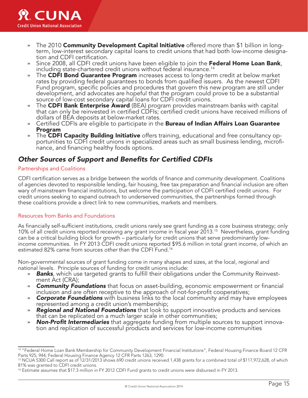

- » The 2010 **Community Development Capital Initiative** offered more than \$1 billion in longterm, low-interest secondary capital loans to credit unions that had both low-income designa- tion and CDFI certification.
- Since 2008, all CDFI credit unions have been eligible to join the Federal Home Loan Bank, including state-chartered credit unions without federal insurance. 14
- The CDFI Bond Guarantee Program increases access to long-term credit at below market rates by providing federal guarantees to bonds from qualified issuers. As the newest CDFI Fund program, specific policies and procedures that govern this new program are still under development, and advocates are hopeful that the program could prove to be a substantial source of low-cost secondary capital loans for CDFI credit unions.
- The CDFI Bank Enterprise Award (BEA) program provides mainstream banks with capital that can only be reinvested in certified CDFIs; certified credit unions have received millions of dollars of BEA deposits at below-market rates.
- » Certified CDFIs are eligible to participate in the **Bureau of Indian Affairs Loan Guarantee** Program
- » The CDFI Capacity Building Initiative offers training, educational and free consultancy opportunities to CDFI credit unions in specialized areas such as small business lending, microfinance, and financing healthy foods options.

### *Other Sources of Support and Benefits for Certified CDFIs*

#### Partnerships and Coalitions

CDFI certification serves as a bridge between the worlds of finance and community development. Coalitions of agencies devoted to responsible lending, fair housing, free tax preparation and financial inclusion are often wary of mainstream financial institutions, but welcome the participation of CDFI certified credit unions. For credit unions seeking to expand outreach to underserved communities, the partnerships formed through these coalitions provide a direct link to new communities, markets and members.

#### Resources from Banks and Foundations

As financially self-sufficient institutions, credit unions rarely see grant funding as a core business strategy; only 10% of all credit unions reported receiving any grant income in fiscal year 2013. 15 Nevertheless, grant funding can be a critical building block for growth – particularly for credit unions that serve predominantly lowincome communities. In FY 2013 CDFI credit unions reported \$95.6 million in total grant income, of which an estimated 82% came from sources *other* than the CDFI Fund. 16

Non-governmental sources of grant funding come in many shapes and sizes, at the local, regional and national levels. Principle sources of funding for credit unions include:

- » *Banks*, which use targeted grants to fulfill their obligations under the Community Reinvestment Act (CRA);
- » *Community Foundations* that focus on asset-building, economic empowerment or financial inclusion and are often receptive to the approach of not-for-profit cooperatives;
- » *Corporate Foundations* with business links to the local community and may have employees represented among a credit union's membership;
- » *Regional and National Foundations* that look to support innovative products and services that can be replicated on a much larger scale in other communities;
- » *Non-Profit Intermediaries* that aggregate funding from multiple sources to support innovation and replication of successful products and services for low-income communities

<sup>&</sup>lt;sup>14</sup> "Federal Home Loan Bank Membership for Community Development Financial Institutions", Federal Housing Finance Board 12 CFR Parts 925, 944; Federal Housing Finance Agency 12 CFR Parts 1263, 1290.

<sup>15</sup> NCUA 5300 Call report as of 12/31/2013 shows 690 credit unions received 1,438 grants for a combined total of \$117,972,628, of which 81% was granted to CDFI credit unions.

<sup>&</sup>lt;sup>16</sup> Estimate assumes that \$17.3 million in FY 2012 CDFI Fund grants to credit unions were disbursed in FY 2013.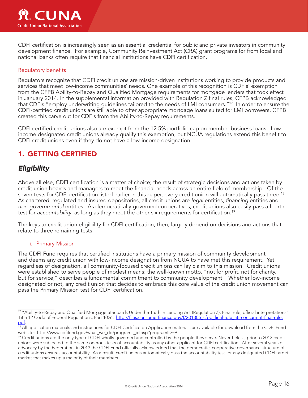

CDFI certification is increasingly seen as an essential credential for public and private investors in community development finance. For example, Community Reinvestment Act (CRA) grant programs for from local and national banks often require that financial institutions have CDFI certification.

#### Regulatory benefits

Regulators recognize that CDFI credit unions are mission-driven institutions working to provide products and services that meet low-income communities' needs. One example of this recognition is CDFIs' exemption from the CFPB Ability-to-Repay and Qualified Mortgage requirements for mortgage lenders that took effect in January 2014. In the supplemental information provided with Regulation Z final rules, CFPB acknowledged that CDFIs "employ underwriting guidelines tailored to the needs of LMI consumers."<sup>17</sup> In order to ensure the CDFI-certified credit unions are still able to offer appropriate mortgage loans suited for LMI borrowers, CFPB created this carve out for CDFIs from the Ability-to-Repay requirements.

CDFI certified credit unions also are exempt from the 12.5% portfolio cap on member business loans. Lowincome designated credit unions already qualify this exemption, but NCUA regulations extend this benefit to CDFI credit unions even if they do not have a low-income designation.

### 1. GETTING CERTIFIED

### *Eligibility*

Above all else, CDFI certification is a matter of choice; the result of strategic decisions and actions taken by credit union boards and managers to meet the financial needs across an entire field of membership. Of the seven tests for CDFI certification listed earlier in this paper, every credit union will automatically pass three. 18 As chartered, regulated and insured depositories, all credit unions are *legal* entities, *financing* entities and *non-governmental* entities. As democratically governed cooperatives, credit unions also easily pass a fourth test for *accountability*, as long as they meet the other six requirements for certification. 19

The keys to credit union eligibility for CDFI certification, then, largely depend on decisions and actions that relate to three remaining tests.

#### i. Primary Mission

The CDFI Fund requires that certified institutions have a primary mission of community development and deems any credit union with low-income designation from NCUA to have met this requirement. Yet regardless of designation, all community-focused credit unions can lay claim to this mission. Credit unions were established to serve people of modest means; the well-known motto, "not for profit, not for charity, but for service," describes a fundamental commitment to community development. Whether low-income designated or not, any credit union that decides to embrace this core value of the credit union movement can pass the Primary Mission test for CDFI certification.

<sup>&</sup>lt;sup>17</sup> "Ability-to-Repay and Qualified Mortgage Standards Under the Truth in Lending Act (Regulation Z), Final rule; official interpretations" Title 12 Code of Federal Regulations, Part 1026, http://files.consumerfinance.gov/f/201305\_cfpb\_final-rule\_atr-concurrent-final-rule.

pdf.<br><sup>18</sup> All application materials and instructions for CDFI Certification Application materials are available for download from the CDFI Fund website: http://www.cdfifund.gov/what\_we\_do/programs\_id.asp?programID=9

<sup>&</sup>lt;sup>19</sup> Credit unions are the only type of CDFI wholly governed and controlled by the people they serve. Nevertheless, prior to 2013 credit unions were subjected to the same onerous tests of accountability as any other applicant for CDFI certification. After several years of advocacy by the Federation, in 2013 the CDFI Fund officially acknowledged that the democratic, cooperative governance structure of credit unions ensures accountability. As a result, credit unions automatically pass the accountability test for any designated CDFI target market that makes up a majority of their members.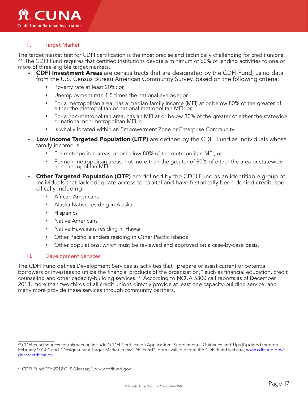#### ii. Target Market

The target market test for CDFI certification is the most precise and technically challenging for credit unions. 20 The CDFI Fund requires that certified institutions devote a minimum of 60% of lending activities to one or more of three eligible target markets.

- » **CDFI Investment Areas** are census tracts that are designated by the CDFI Fund, using data from the U.S. Census Bureau American Community Survey, based on the following criteria:
	- Poverty rate at least 20%; or,
	- Unemployment rate 1.5 times the national average; or,
	- For a metropolitan area, has a median family income (MFI) at or below 80% of the greater of either the metropolitan or national metropolitan MFI; or,
	- ü For a non-metropolitan area, has an MFI at or below 80% of the greater of either the statewide or national non-metropolitan MFI; or
	- Is wholly located within an Empowerment Zone or Enterprise Community.
- » Low Income Targeted Population (LITP) are defined by the CDFI Fund as individuals whose family income is:
	- ü For metropolitan areas, at or below 80% of the metropolitan MFI; or
	- For non-metropolitan areas, not more than the greater of 80% of either the area or statewide non-metropolitan MFI.
- **Other Targeted Population (OTP)** are defined by the CDFI Fund as an identifiable group of individuals that lack adequate access to capital and have historically been denied credit, specifically including:
	- African Americans
	- ü Alaska Native residing in Alaska
	- **Hispanics**
	- Native Americans
	- ü Native Hawaiians residing in Hawaii
	- Other Pacific Islanders residing in Other Pacific Islands
	- ü Other populations, which must be reviewed and approved on a case-by-case basis.

#### iii. Development Services

The CDFI Fund defines Development Services as activities that "prepare or assist current or potential borrowers or investees to utilize the financial products of the organization," such as financial education, credit counseling and other capacity-building services.<sup>21</sup> According to NCUA 5300 call reports as of December 2013, more than two-thirds of all credit unions directly provide at least one capacity-building service, and many more provide these services through community partners.

<sup>&</sup>lt;sup>20</sup> CDFI Fund sources for this section include "CDFI Certification Application: Supplemental Guidance and Tips (Updated through February 2014)" and "Designating a Target Market in myCDFI Fund", both available from the CDFI Fund website, www.cdfifund.gov/ docs/certification

<sup>21</sup> CDFI Fund "FY 2012 CIIS Glossary", www.cdfifund.gov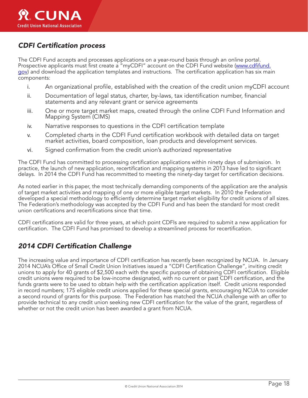### *CDFI Certification process*

The CDFI Fund accepts and processes applications on a year-round basis through an online portal. Prospective applicants must first create a "myCDFI" account on the CDFI Fund website (www.cdfifund. gov) and download the application templates and instructions. The certification application has six main components:

- i. An organizational profile, established with the creation of the credit union myCDFI account
- ii. Documentation of legal status, charter, by-laws, tax identification number, financial statements and any relevant grant or service agreements
- iii. One or more target market maps, created through the online CDFI Fund Information and Mapping System (CIMS)
- iv. Narrative responses to questions in the CDFI certification template
- v. Completed charts in the CDFI Fund certification workbook with detailed data on target market activities, board composition, loan products and development services.
- vi. Signed confirmation from the credit union's authorized representative

The CDFI Fund has committed to processing certification applications within ninety days of submission. In practice, the launch of new application, recertification and mapping systems in 2013 have led to significant delays. In 2014 the CDFI Fund has recommitted to meeting the ninety-day target for certification decisions.

As noted earlier in this paper, the most technically demanding components of the application are the analysis of target market activities and mapping of one or more eligible target markets. In 2010 the Federation developed a special methodology to efficiently determine target market eligibility for credit unions of all sizes. The Federation's methodology was accepted by the CDFI Fund and has been the standard for most credit union certifications and recertifications since that time.

CDFI certifications are valid for three years, at which point CDFIs are required to submit a new application for certification. The CDFI Fund has promised to develop a streamlined process for recertification.

### *2014 CDFI Certification Challenge*

The increasing value and importance of CDFI certification has recently been recognized by NCUA. In January 2014 NCUA's Office of Small Credit Union Initiatives issued a "CDFI Certification Challenge", inviting credit unions to apply for 40 grants of \$2,500 each with the specific purpose of obtaining CDFI certification. Eligible credit unions were required to be low-income designated, with no current or past CDFI certification, and the funds grants were to be used to obtain help with the certification application itself. Credit unions responded in record numbers; 175 eligible credit unions applied for these special grants, encouraging NCUA to consider a second round of grants for this purpose. The Federation has matched the NCUA challenge with an offer to provide technical to any credit union seeking new CDFI certification for the value of the grant, regardless of whether or not the credit union has been awarded a grant from NCUA.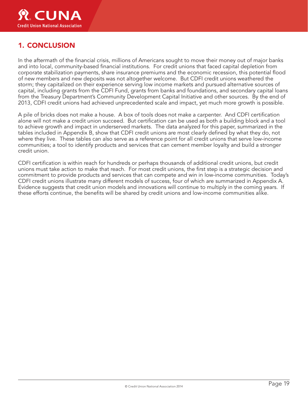

### 1. CONCLUSION

In the aftermath of the financial crisis, millions of Americans sought to move their money out of major banks and into local, community-based financial institutions. For credit unions that faced capital depletion from corporate stabilization payments, share insurance premiums and the economic recession, this potential flood of new members and new deposits was not altogether welcome. But CDFI credit unions weathered the storm; they capitalized on their experience serving low income markets and pursued alternative sources of capital, including grants from the CDFI Fund, grants from banks and foundations, and secondary capital loans from the Treasury Department's Community Development Capital Initiative and other sources. By the end of 2013, CDFI credit unions had achieved unprecedented scale and impact, yet much more growth is possible.

A pile of bricks does not make a house. A box of tools does not make a carpenter. And CDFI certification alone will not make a credit union succeed. But certification can be used as both a building block and a tool to achieve growth and impact in underserved markets. The data analyzed for this paper, summarized in the tables included in Appendix B, show that CDFI credit unions are most clearly defined by what they do, not where they live. These tables can also serve as a reference point for all credit unions that serve low-income communities; a tool to identify products and services that can cement member loyalty and build a stronger credit union.

CDFI certification is within reach for hundreds or perhaps thousands of additional credit unions, but credit unions must take action to make that reach. For most credit unions, the first step is a strategic decision and commitment to provide products and services that can compete and win in low-income communities. Today's CDFI credit unions illustrate many different models of success, four of which are summarized in Appendix A. Evidence suggests that credit union models and innovations will continue to multiply in the coming years. If these efforts continue, the benefits will be shared by credit unions and low-income communities alike.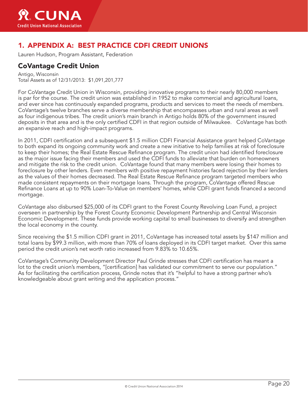

### 1. APPENDIX A: BEST PRACTICE CDFI CREDIT UNIONS

Lauren Hudson, Program Assistant, Federation

### CoVantage Credit Union

Antigo, Wisconsin Total Assets as of 12/31/2013: \$1,091,201,777

For CoVantage Credit Union in Wisconsin, providing innovative programs to their nearly 80,000 members is par for the course. The credit union was established in 1952 to make commercial and agricultural loans, and ever since has continuously expanded programs, products and services to meet the needs of members. CoVantage's twelve branches serve a diverse membership that encompasses urban and rural areas as well as four indigenous tribes. The credit union's main branch in Antigo holds 80% of the government insured deposits in that area and is the only certified CDFI in that region outside of Milwaukee. CoVantage has both an expansive reach and high-impact programs.

In 2011, CDFI certification and a subsequent \$1.5 million CDFI Financial Assistance grant helped CoVantage to both expand its ongoing community work and create a new initiative to help families at risk of foreclosure to keep their homes; the Real Estate Rescue Refinance program. The credit union had identified foreclosure as the major issue facing their members and used the CDFI funds to alleviate that burden on homeowners and mitigate the risk to the credit union. CoVantage found that many members were losing their homes to foreclosure by other lenders. Even members with positive repayment histories faced rejection by their lenders as the values of their homes decreased. The Real Estate Rescue Refinance program targeted members who made consistent repayments on their mortgage loans. Through the program, CoVantage offered Rescue Refinance Loans at up to 90% Loan-To-Value on members' homes, while CDFI grant funds financed a second mortgage.

CoVantage also disbursed \$25,000 of its CDFI grant to the Forest County Revolving Loan Fund, a project overseen in partnership by the Forest County Economic Development Partnership and Central Wisconsin Economic Development. These funds provide working capital to small businesses to diversify and strengthen the local economy in the county.

Since receiving the \$1.5 million CDFI grant in 2011, CoVantage has increased total assets by \$147 million and total loans by \$99.3 million, with more than 70% of loans deployed in its CDFI target market. Over this same period the credit union's net worth ratio increased from 9.83% to 10.65%.

CoVantage's Community Development Director Paul Grinde stresses that CDFI certification has meant a lot to the credit union's members, "[certification] has validated our commitment to serve our population." As for facilitating the certification process, Grinde notes that it's "helpful to have a strong partner who's knowledgeable about grant writing and the application process."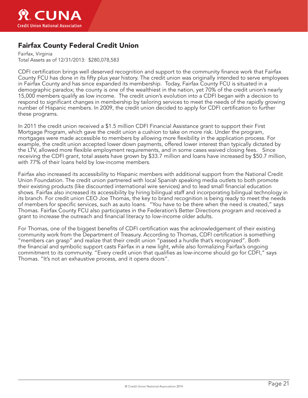

### Fairfax County Federal Credit Union

Fairfax, Virginia Total Assets as of 12/31/2013: \$280,078,583

CDFI certification brings well deserved recognition and support to the community finance work that Fairfax County FCU has done in its fifty plus year history. The credit union was originally intended to serve employees in Fairfax County and has since expanded its membership. Today, Fairfax County FCU is situated in a demographic paradox; the county is one of the wealthiest in the nation, yet 70% of the credit union's nearly 15,000 members qualify as low income. The credit union's evolution into a CDFI began with a decision to respond to significant changes in membership by tailoring services to meet the needs of the rapidly growing number of Hispanic members. In 2009, the credit union decided to apply for CDFI certification to further these programs.

In 2011 the credit union received a \$1.5 million CDFI Financial Assistance grant to support their First Mortgage Program, which gave the credit union a cushion to take on more risk. Under the program, mortgages were made accessible to members by allowing more flexibility in the application process. For example, the credit union accepted lower down payments, offered lower interest than typically dictated by the LTV, allowed more flexible employment requirements, and in some cases waived closing fees. Since receiving the CDFI grant, total assets have grown by \$33.7 million and loans have increased by \$50.7 million, with 77% of their loans held by low-income members.

Fairfax also increased its accessibility to Hispanic members with additional support from the National Credit Union Foundation. The credit union partnered with local Spanish speaking media outlets to both promote their existing products (like discounted international wire services) and to lead small financial education shows. Fairfax also increased its accessibility by hiring bilingual staff and incorporating bilingual technology in its branch. For credit union CEO Joe Thomas, the key to brand recognition is being ready to meet the needs of members for specific services, such as auto loans. "You have to be there when the need is created," says Thomas. Fairfax County FCU also participates in the Federation's Better Directions program and received a grant to increase the outreach and financial literacy to low-income older adults.

For Thomas, one of the biggest benefits of CDFI certification was the acknowledgement of their existing community work from the Department of Treasury. According to Thomas, CDFI certification is something "members can grasp" and realize that their credit union "passed a hurdle that's recognized". Both the financial and symbolic support casts Fairfax in a new light, while also formalizing Fairfax's ongoing commitment to its community. "Every credit union that qualifies as low-income should go for CDFI," says Thomas. "It's not an exhaustive process, and it opens doors".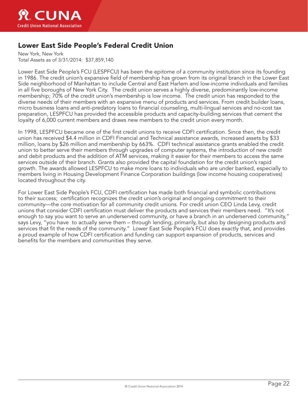

### Lower East Side People's Federal Credit Union

New York, New York Total Assets as of 3/31/2014: \$37,859,140

Lower East Side People's FCU (LESPFCU) has been the epitome of a community institution since its founding in 1986. The credit union's expansive field of membership has grown from its original branch in the Lower East Side neighborhood of Manhattan to include Central and East Harlem and low-income individuals and families in all five boroughs of New York City. The credit union serves a highly diverse, predominantly low-income membership; 70% of the credit union's membership is low income. The credit union has responded to the diverse needs of their members with an expansive menu of products and services. From credit builder loans, micro business loans and anti-predatory loans to financial counseling, multi-lingual services and no-cost tax preparation, LESPFCU has provided the accessible products and capacity-building services that cement the loyalty of 6,000 current members and draws new members to the credit union every month.

In 1998, LESPFCU became one of the first credit unions to receive CDFI certification. Since then, the credit union has received \$4.4 million in CDFI Financial and Technical assistance awards, increased assets by \$33 million, loans by \$26 million and membership by 663%. CDFI technical assistance grants enabled the credit union to better serve their members through upgrades of computer systems, the introduction of new credit and debit products and the addition of ATM services, making it easier for their members to access the same services outside of their branch. Grants also provided the capital foundation for the credit union's rapid growth. The awards allowed LESPFCU to make more loans to individuals who are under banked, especially to members living in Housing Development Finance Corporation buildings (low income housing cooperatives) located throughout the city.

For Lower East Side People's FCU, CDFI certification has made both financial and symbolic contributions to their success; certification recognizes the credit union's original and ongoing commitment to their community—the core motivation for all community credit unions. For credit union CEO Linda Levy, credit unions that consider CDFI certification must deliver the products and services their members need. "It's not enough to say you want to serve an underserved community, or have a branch in an underserved community," says Levy, "you have to actually serve them – through lending, primarily, but also by designing products and services that fit the needs of the community." Lower East Side People's FCU does exactly that, and provides a proud example of how CDFI certification and funding can support expansion of products, services and benefits for the members and communities they serve.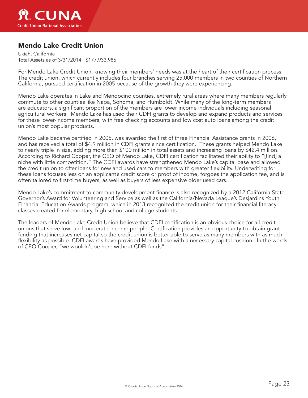

### Mendo Lake Credit Union

Ukiah, California Total Assets as of 3/31/2014: \$177,933,986

For Mendo Lake Credit Union, knowing their members' needs was at the heart of their certification process. The credit union, which currently includes four branches serving 25,000 members in two counties of Northern California, pursued certification in 2005 because of the growth they were experiencing.

Mendo Lake operates in Lake and Mendocino counties, extremely rural areas where many members regularly commute to other counties like Napa, Sonoma, and Humboldt. While many of the long-term members are educators, a significant proportion of the members are lower income individuals including seasonal agricultural workers. Mendo Lake has used their CDFI grants to develop and expand products and services for these lower-income members, with free checking accounts and low cost auto loans among the credit union's most popular products.

Mendo Lake became certified in 2005, was awarded the first of three Financial Assistance grants in 2006, and has received a total of \$4.9 million in CDFI grants since certification. These grants helped Mendo Lake to nearly triple in size, adding more than \$100 million in total assets and increasing loans by \$42.4 million. According to Richard Cooper, the CEO of Mendo Lake, CDFI certification facilitated their ability to "[find] a niche with little competition." The CDFI awards have strengthened Mendo Lake's capital base and allowed the credit union to offer loans for new and used cars to members with greater flexibility. Underwriting for these loans focuses less on an applicant's credit score or proof of income, forgoes the application fee, and is often tailored to first-time buyers, as well as buyers of less expensive older used cars.

Mendo Lake's commitment to community development finance is also recognized by a 2012 California State Governor's Award for Volunteering and Service as well as the California/Nevada League's Desjardins Youth Financial Education Awards program, which in 2013 recognized the credit union for their financial literacy classes created for elementary, high school and college students.

The leaders of Mendo Lake Credit Union believe that CDFI certification is an obvious choice for all credit unions that serve low- and moderate-income people. Certification provides an opportunity to obtain grant funding that increases net capital so the credit union is better able to serve as many members with as much flexibility as possible. CDFI awards have provided Mendo Lake with a necessary capital cushion. In the words of CEO Cooper, "we wouldn't be here without CDFI funds".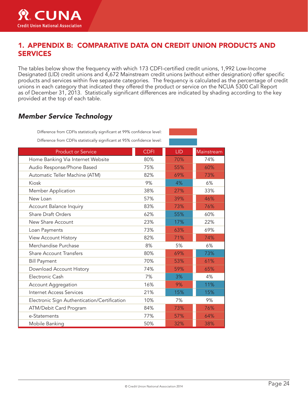

### 1. APPENDIX B: COMPARATIVE DATA ON CREDIT UNION PRODUCTS AND SERVICES

The tables below show the frequency with which 173 CDFI-certified credit unions, 1,992 Low-Income Designated (LID) credit unions and 4,672 Mainstream credit unions (without either designation) offer specific products and services within five separate categories. The frequency is calculated as the percentage of credit unions in each category that indicated they offered the product or service on the NCUA 5300 Call Report as of December 31, 2013. Statistically significant differences are indicated by shading according to the key provided at the top of each table.

### *Member Service Technology*

Difference from CDFIs statistically significant at 99% confidence level:

Difference from CDFIs statistically significant at 95% confidence level:

| <b>Product or Service</b>                    | <b>CDFI</b> | <b>LID</b> | Mainstream |
|----------------------------------------------|-------------|------------|------------|
| Home Banking Via Internet Website            | 80%         | 70%        | 74%        |
| Audio Response/Phone Based                   | 75%         | 55%        | 60%        |
| Automatic Teller Machine (ATM)               | 82%         | 69%        | 73%        |
| Kiosk                                        | 9%          | 4%         | 6%         |
| Member Application                           | 38%         | 27%        | 33%        |
| New Loan                                     | 57%         | 39%        | 46%        |
| Account Balance Inquiry                      | 83%         | 73%        | 76%        |
| <b>Share Draft Orders</b>                    | 62%         | 55%        | 60%        |
| New Share Account                            | 23%         | 17%        | 22%        |
| Loan Payments                                | 73%         | 63%        | 69%        |
| View Account History                         | 82%         | 71%        | 74%        |
| Merchandise Purchase                         | 8%          | 5%         | 6%         |
| <b>Share Account Transfers</b>               | 80%         | 69%        | 73%        |
| <b>Bill Payment</b>                          | 70%         | 53%        | 61%        |
| Download Account History                     | 74%         | 59%        | 65%        |
| Electronic Cash                              | 7%          | 3%         | 4%         |
| <b>Account Aggregation</b>                   | 16%         | 9%         | 11%        |
| <b>Internet Access Services</b>              | 21%         | 15%        | 15%        |
| Electronic Sign Authentication/Certification | 10%         | 7%         | 9%         |
| ATM/Debit Card Program                       | 84%         | 73%        | 76%        |
| e-Statements                                 | 77%         | 57%        | 64%        |
| Mobile Banking                               | 50%         | 32%        | 38%        |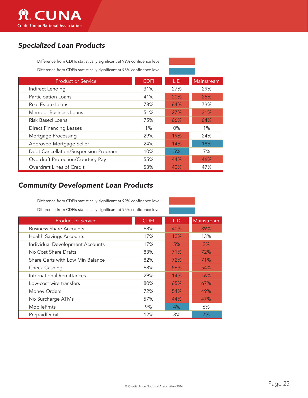

### *Specialized Loan Products*

Difference from CDFIs statistically significant at 99% confidence level: Difference from CDFIs statistically significant at 95% confidence level:

| <b>Product or Service</b>            | <b>CDFI</b> | <b>LID</b> | Mainstream |
|--------------------------------------|-------------|------------|------------|
| Indirect Lending                     | 31%         | 27%        | 29%        |
| Participation Loans                  | 41%         | 20%        | 25%        |
| Real Estate Loans                    | 78%         | 64%        | 73%        |
| Member Business Loans                | 51%         | 27%        | 31%        |
| Risk Based Loans                     | 75%         | 66%        | 64%        |
| <b>Direct Financing Leases</b>       | 1%          | $0\%$      | $1\%$      |
| Mortgage Processing                  | 29%         | 19%        | 24%        |
| Approved Mortgage Seller             | 24%         | 14%        | 18%        |
| Debt Cancellation/Suspension Program | 10%         | 5%         | 7%         |
| Overdraft Protection/Courtesy Pay    | 55%         | 44%        | 46%        |
| Overdraft Lines of Credit            | 53%         | 40%        | 47%        |

### *Community Development Loan Products*

Difference from CDFIs statistically significant at 99% confidence level: Difference from CDFIs statistically significant at 95% confidence level:

| <b>Product or Service</b>        | <b>CDFI</b> | <b>LID</b> | Mainstream |
|----------------------------------|-------------|------------|------------|
| <b>Business Share Accounts</b>   | 68%         | 40%        | 39%        |
| <b>Health Savings Accounts</b>   | 17%         | 10%        | 13%        |
| Individual Development Accounts  | 17%         | 5%         | 2%         |
| No Cost Share Drafts             | 83%         | 71%        | 72%        |
| Share Certs with Low Min Balance | 82%         | 72%        | 71%        |
| Check Cashing                    | 68%         | 56%        | 54%        |
| International Remittances        | 29%         | 14%        | 16%        |
| Low-cost wire transfers          | 80%         | 65%        | 67%        |
| Money Orders                     | 72%         | 54%        | 49%        |
| No Surcharge ATMs                | 57%         | 44%        | 47%        |
| <b>MobilePmts</b>                | 9%          | 4%         | 6%         |
| PrepaidDebit                     | 12%         | 8%         | 7%         |